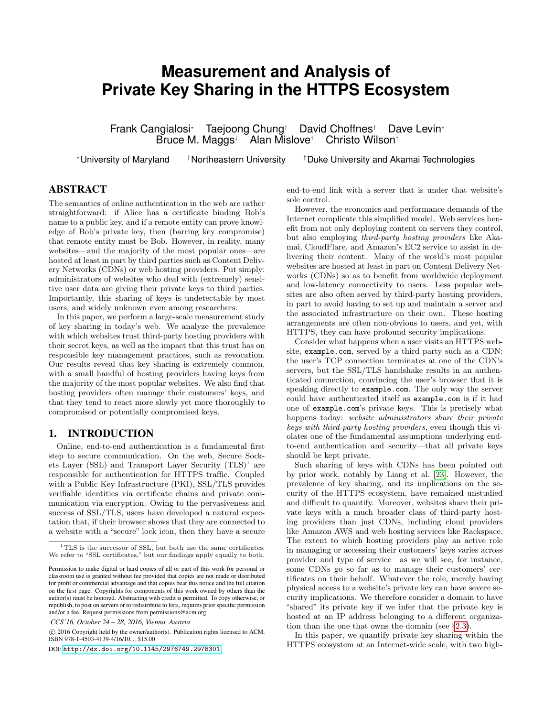# **Measurement and Analysis of Private Key Sharing in the HTTPS Ecosystem**

Frank Cangialosi<sup>∗</sup> Taejoong Chung† David Choffnes† Dave Levin<sup>∗</sup> Bruce M. Maggs $\ddagger$  Alan Mislove $\ddagger$ 

<sup>∗</sup>University of Maryland †Northeastern University ‡Duke University and Akamai Technologies

# ABSTRACT

The semantics of online authentication in the web are rather straightforward: if Alice has a certificate binding Bob's name to a public key, and if a remote entity can prove knowledge of Bob's private key, then (barring key compromise) that remote entity must be Bob. However, in reality, many websites—and the majority of the most popular ones—are hosted at least in part by third parties such as Content Delivery Networks (CDNs) or web hosting providers. Put simply: administrators of websites who deal with (extremely) sensitive user data are giving their private keys to third parties. Importantly, this sharing of keys is undetectable by most users, and widely unknown even among researchers.

In this paper, we perform a large-scale measurement study of key sharing in today's web. We analyze the prevalence with which websites trust third-party hosting providers with their secret keys, as well as the impact that this trust has on responsible key management practices, such as revocation. Our results reveal that key sharing is extremely common, with a small handful of hosting providers having keys from the majority of the most popular websites. We also find that hosting providers often manage their customers' keys, and that they tend to react more slowly yet more thoroughly to compromised or potentially compromised keys.

# 1. INTRODUCTION

Online, end-to-end authentication is a fundamental first step to secure communication. On the web, Secure Sockets Layer (SSL) and Transport Layer Security  $(TLS)^1$  are responsible for authentication for HTTPS traffic. Coupled with a Public Key Infrastructure (PKI), SSL/TLS provides verifiable identities via certificate chains and private communication via encryption. Owing to the pervasiveness and success of SSL/TLS, users have developed a natural expectation that, if their browser shows that they are connected to a website with a "secure" lock icon, then they have a secure

*CCS'16, October 24 – 28, 2016, Vienna, Austria*

 c 2016 Copyright held by the owner/author(s). Publication rights licensed to ACM. ISBN 978-1-4503-4139-4/16/10. . . \$15.00

DOI: <http://dx.doi.org/10.1145/2976749.2978301>

end-to-end link with a server that is under that website's sole control.

However, the economics and performance demands of the Internet complicate this simplified model. Web services benefit from not only deploying content on servers they control, but also employing third-party hosting providers like Akamai, CloudFlare, and Amazon's EC2 service to assist in delivering their content. Many of the world's most popular websites are hosted at least in part on Content Delivery Networks (CDNs) so as to benefit from worldwide deployment and low-latency connectivity to users. Less popular websites are also often served by third-party hosting providers, in part to avoid having to set up and maintain a server and the associated infrastructure on their own. These hosting arrangements are often non-obvious to users, and yet, with HTTPS, they can have profound security implications.

Consider what happens when a user visits an HTTPS website, example.com, served by a third party such as a CDN: the user's TCP connection terminates at one of the CDN's servers, but the SSL/TLS handshake results in an authenticated connection, convincing the user's browser that it is speaking directly to example.com. The only way the server could have authenticated itself as example.com is if it had one of example.com's private keys. This is precisely what happens today: website administrators share their private keys with third-party hosting providers, even though this violates one of the fundamental assumptions underlying endto-end authentication and security—that all private keys should be kept private.

Such sharing of keys with CDNs has been pointed out by prior work, notably by Liang et al. [\[23\]](#page-13-0). However, the prevalence of key sharing, and its implications on the security of the HTTPS ecosystem, have remained unstudied and difficult to quantify. Moreover, websites share their private keys with a much broader class of third-party hosting providers than just CDNs, including cloud providers like Amazon AWS and web hosting services like Rackspace. The extent to which hosting providers play an active role in managing or accessing their customers' keys varies across provider and type of service—as we will see, for instance, some CDNs go so far as to manage their customers' certificates on their behalf. Whatever the role, merely having physical access to a website's private key can have severe security implications. We therefore consider a domain to have "shared" its private key if we infer that the private key is hosted at an IP address belonging to a different organization than the one that owns the domain (see §[2.3\)](#page-2-0).

In this paper, we quantify private key sharing within the HTTPS ecosystem at an Internet-wide scale, with two high-

<sup>&</sup>lt;sup>1</sup>TLS is the successor of SSL, but both use the same certificates. We refer to "SSL certificates," but our findings apply equally to both.

Permission to make digital or hard copies of all or part of this work for personal or classroom use is granted without fee provided that copies are not made or distributed for profit or commercial advantage and that copies bear this notice and the full citation on the first page. Copyrights for components of this work owned by others than the author(s) must be honored. Abstracting with credit is permitted. To copy otherwise, or republish, to post on servers or to redistribute to lists, requires prior specific permission and/or a fee. Request permissions from permissions@acm.org.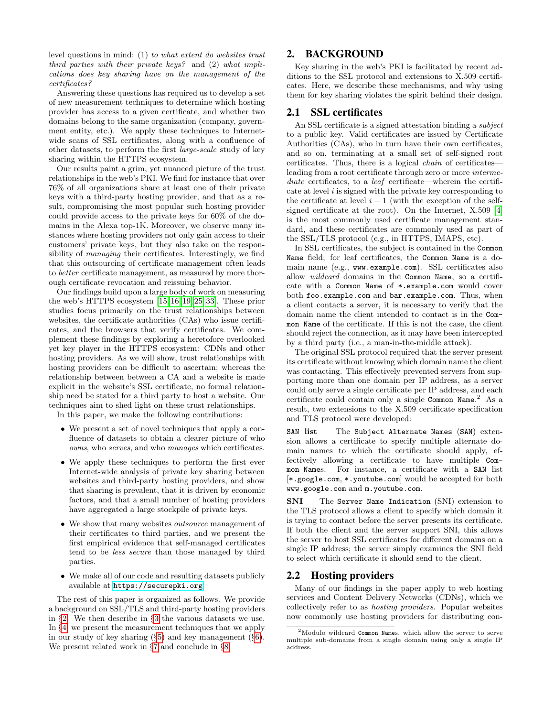level questions in mind: (1) to what extent do websites trust third parties with their private keys? and (2) what implications does key sharing have on the management of the certificates?

Answering these questions has required us to develop a set of new measurement techniques to determine which hosting provider has access to a given certificate, and whether two domains belong to the same organization (company, government entity, etc.). We apply these techniques to Internetwide scans of SSL certificates, along with a confluence of other datasets, to perform the first large-scale study of key sharing within the HTTPS ecosystem.

Our results paint a grim, yet nuanced picture of the trust relationships in the web's PKI. We find for instance that over 76% of all organizations share at least one of their private keys with a third-party hosting provider, and that as a result, compromising the most popular such hosting provider could provide access to the private keys for 60% of the domains in the Alexa top-1K. Moreover, we observe many instances where hosting providers not only gain access to their customers' private keys, but they also take on the responsibility of managing their certificates. Interestingly, we find that this outsourcing of certificate management often leads to better certificate management, as measured by more thorough certificate revocation and reissuing behavior.

Our findings build upon a large body of work on measuring the web's HTTPS ecosystem [\[15,](#page-13-1) [16,](#page-13-2) [19,](#page-13-3) [25,](#page-13-4) [33\]](#page-13-5). These prior studies focus primarily on the trust relationships between websites, the certificate authorities (CAs) who issue certificates, and the browsers that verify certificates. We complement these findings by exploring a heretofore overlooked yet key player in the HTTPS ecosystem: CDNs and other hosting providers. As we will show, trust relationships with hosting providers can be difficult to ascertain; whereas the relationship between between a CA and a website is made explicit in the website's SSL certificate, no formal relationship need be stated for a third party to host a website. Our techniques aim to shed light on these trust relationships.

In this paper, we make the following contributions:

- We present a set of novel techniques that apply a confluence of datasets to obtain a clearer picture of who owns, who serves, and who manages which certificates.
- We apply these techniques to perform the first ever Internet-wide analysis of private key sharing between websites and third-party hosting providers, and show that sharing is prevalent, that it is driven by economic factors, and that a small number of hosting providers have aggregated a large stockpile of private keys.
- We show that many websites *outsource* management of their certificates to third parties, and we present the first empirical evidence that self-managed certificates tend to be less secure than those managed by third parties.
- We make all of our code and resulting datasets publicly available at <https://securepki.org>.

The rest of this paper is organized as follows. We provide a background on SSL/TLS and third-party hosting providers in §[2.](#page-1-0) We then describe in §[3](#page-3-0) the various datasets we use. In §[4,](#page-3-1) we present the measurement techniques that we apply in our study of key sharing (§[5\)](#page-6-0) and key management (§[6\)](#page-9-0). We present related work in §[7](#page-12-0) and conclude in §[8.](#page-12-1)

# <span id="page-1-0"></span>2. BACKGROUND

Key sharing in the web's PKI is facilitated by recent additions to the SSL protocol and extensions to X.509 certificates. Here, we describe these mechanisms, and why using them for key sharing violates the spirit behind their design.

#### 2.1 SSL certificates

An SSL certificate is a signed attestation binding a subject to a public key. Valid certificates are issued by Certificate Authorities (CAs), who in turn have their own certificates, and so on, terminating at a small set of self-signed root certificates. Thus, there is a logical chain of certificates leading from a root certificate through zero or more intermediate certificates, to a *leaf* certificate—wherein the certificate at level  $i$  is signed with the private key corresponding to the certificate at level  $i - 1$  (with the exception of the selfsigned certificate at the root). On the Internet, X.509 [\[4\]](#page-12-2) is the most commonly used certificate management standard, and these certificates are commonly used as part of the SSL/TLS protocol (e.g., in HTTPS, IMAPS, etc).

In SSL certificates, the subject is contained in the Common Name field; for leaf certificates, the Common Name is a domain name (e.g., www.example.com). SSL certificates also allow *wildcard* domains in the Common Name, so a certificate with a Common Name of \*.example.com would cover both foo.example.com and bar.example.com. Thus, when a client contacts a server, it is necessary to verify that the domain name the client intended to contact is in the Common Name of the certificate. If this is not the case, the client should reject the connection, as it may have been intercepted by a third party (i.e., a man-in-the-middle attack).

The original SSL protocol required that the server present its certificate without knowing which domain name the client was contacting. This effectively prevented servers from supporting more than one domain per IP address, as a server could only serve a single certificate per IP address, and each certificate could contain only a single Common Name. <sup>2</sup> As a result, two extensions to the X.509 certificate specification and TLS protocol were developed:

SAN list The Subject Alternate Names (SAN) extension allows a certificate to specify multiple alternate domain names to which the certificate should apply, effectively allowing a certificate to have multiple Common Names. For instance, a certificate with a SAN list [\*.google.com, \*.youtube.com] would be accepted for both www.google.com and m.youtube.com.

SNI The Server Name Indication (SNI) extension to the TLS protocol allows a client to specify which domain it is trying to contact before the server presents its certificate. If both the client and the server support SNI, this allows the server to host SSL certificates for different domains on a single IP address; the server simply examines the SNI field to select which certificate it should send to the client.

## <span id="page-1-1"></span>2.2 Hosting providers

Many of our findings in the paper apply to web hosting services and Content Delivery Networks (CDNs), which we collectively refer to as hosting providers. Popular websites now commonly use hosting providers for distributing con-

<sup>2</sup>Modulo wildcard Common Names, which allow the server to serve multiple sub-domains from a single domain using only a single IP address.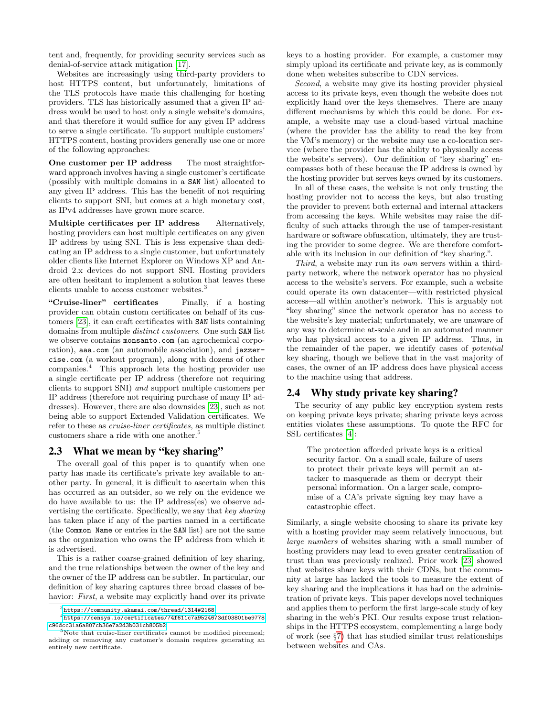tent and, frequently, for providing security services such as denial-of-service attack mitigation [\[17\]](#page-13-6).

Websites are increasingly using third-party providers to host HTTPS content, but unfortunately, limitations of the TLS protocols have made this challenging for hosting providers. TLS has historically assumed that a given IP address would be used to host only a single website's domains, and that therefore it would suffice for any given IP address to serve a single certificate. To support multiple customers' HTTPS content, hosting providers generally use one or more of the following approaches:

One customer per IP address The most straightforward approach involves having a single customer's certificate (possibly with multiple domains in a SAN list) allocated to any given IP address. This has the benefit of not requiring clients to support SNI, but comes at a high monetary cost, as IPv4 addresses have grown more scarce.

Multiple certificates per IP address Alternatively, hosting providers can host multiple certificates on any given IP address by using SNI. This is less expensive than dedicating an IP address to a single customer, but unfortunately older clients like Internet Explorer on Windows XP and Android 2.x devices do not support SNI. Hosting providers are often hesitant to implement a solution that leaves these clients unable to access customer websites.<sup>3</sup>

"Cruise-liner" certificates Finally, if a hosting provider can obtain custom certificates on behalf of its customers [\[23\]](#page-13-0), it can craft certificates with SAN lists containing domains from multiple distinct customers. One such SAN list we observe contains monsanto.com (an agrochemical corporation), aaa.com (an automobile association), and jazzercise.com (a workout program), along with dozens of other companies.<sup>4</sup> This approach lets the hosting provider use a single certificate per IP address (therefore not requiring clients to support SNI) and support multiple customers per IP address (therefore not requiring purchase of many IP addresses). However, there are also downsides [\[23\]](#page-13-0), such as not being able to support Extended Validation certificates. We refer to these as cruise-liner certificates, as multiple distinct customers share a ride with one another.<sup>5</sup>

#### <span id="page-2-0"></span>2.3 What we mean by "key sharing"

The overall goal of this paper is to quantify when one party has made its certificate's private key available to another party. In general, it is difficult to ascertain when this has occurred as an outsider, so we rely on the evidence we do have available to us: the IP address(es) we observe advertising the certificate. Specifically, we say that key sharing has taken place if any of the parties named in a certificate (the Common Name or entries in the SAN list) are not the same as the organization who owns the IP address from which it is advertised.

This is a rather coarse-grained definition of key sharing, and the true relationships between the owner of the key and the owner of the IP address can be subtler. In particular, our definition of key sharing captures three broad classes of behavior: First, a website may explicitly hand over its private keys to a hosting provider. For example, a customer may simply upload its certificate and private key, as is commonly done when websites subscribe to CDN services.

Second, a website may give its hosting provider physical access to its private keys, even though the website does not explicitly hand over the keys themselves. There are many different mechanisms by which this could be done. For example, a website may use a cloud-based virtual machine (where the provider has the ability to read the key from the VM's memory) or the website may use a co-location service (where the provider has the ability to physically access the website's servers). Our definition of "key sharing" encompasses both of these because the IP address is owned by the hosting provider but serves keys owned by its customers.

In all of these cases, the website is not only trusting the hosting provider not to access the keys, but also trusting the provider to prevent both external and internal attackers from accessing the keys. While websites may raise the difficulty of such attacks through the use of tamper-resistant hardware or software obfuscation, ultimately, they are trusting the provider to some degree. We are therefore comfortable with its inclusion in our definition of "key sharing.".

Third, a website may run its own servers within a thirdparty network, where the network operator has no physical access to the website's servers. For example, such a website could operate its own datacenter—with restricted physical access—all within another's network. This is arguably not "key sharing" since the network operator has no access to the website's key material; unfortunately, we are unaware of any way to determine at-scale and in an automated manner who has physical access to a given IP address. Thus, in the remainder of the paper, we identify cases of potential key sharing, though we believe that in the vast majority of cases, the owner of an IP address does have physical access to the machine using that address.

## 2.4 Why study private key sharing?

The security of any public key encryption system rests on keeping private keys private; sharing private keys across entities violates these assumptions. To quote the RFC for SSL certificates [\[4\]](#page-12-2):

The protection afforded private keys is a critical security factor. On a small scale, failure of users to protect their private keys will permit an attacker to masquerade as them or decrypt their personal information. On a larger scale, compromise of a CA's private signing key may have a catastrophic effect.

Similarly, a single website choosing to share its private key with a hosting provider may seem relatively innocuous, but large numbers of websites sharing with a small number of hosting providers may lead to even greater centralization of trust than was previously realized. Prior work [\[23\]](#page-13-0) showed that websites share keys with their CDNs, but the community at large has lacked the tools to measure the extent of key sharing and the implications it has had on the administration of private keys. This paper develops novel techniques and applies them to perform the first large-scale study of key sharing in the web's PKI. Our results expose trust relationships in the HTTPS ecosystem, complementing a large body of work (see §[7\)](#page-12-0) that has studied similar trust relationships between websites and CAs.

 $^3$ <https://community.akamai.com/thread/1314#2168>

 $^4$ [https://censys.io/certificates/74f611c7a9524673df03801be9778](https://censys.io/certificates/74f611c7a9524673df03801be9778c96dcc31a6a807cb36e7a2d3b031cb805b2) [c96dcc31a6a807cb36e7a2d3b031cb805b2](https://censys.io/certificates/74f611c7a9524673df03801be9778c96dcc31a6a807cb36e7a2d3b031cb805b2)

 $5$ Note that cruise-liner certificates cannot be modified piecemeal; adding or removing any customer's domain requires generating an entirely new certificate.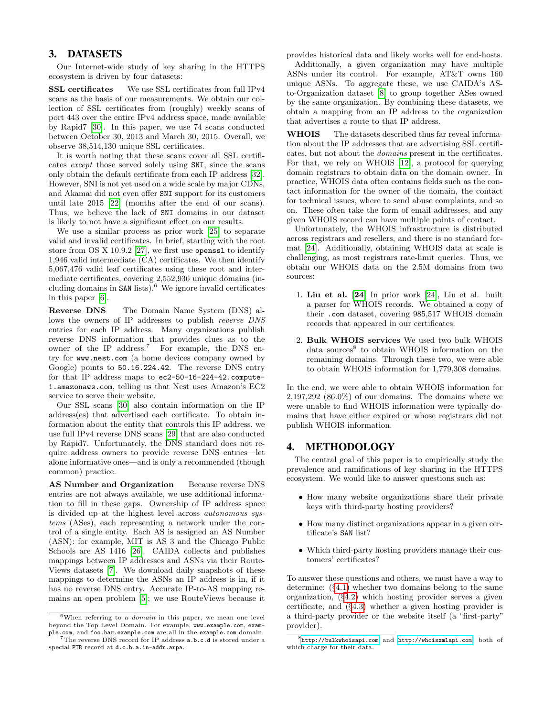# <span id="page-3-0"></span>3. DATASETS

Our Internet-wide study of key sharing in the HTTPS ecosystem is driven by four datasets:

SSL certificates We use SSL certificates from full IPv4 scans as the basis of our measurements. We obtain our collection of SSL certificates from (roughly) weekly scans of port 443 over the entire IPv4 address space, made available by Rapid7 [\[30\]](#page-13-7). In this paper, we use 74 scans conducted between October 30, 2013 and March 30, 2015. Overall, we observe 38,514,130 unique SSL certificates.

It is worth noting that these scans cover all SSL certificates except those served solely using SNI, since the scans only obtain the default certificate from each IP address [\[32\]](#page-13-8). However, SNI is not yet used on a wide scale by major CDNs, and Akamai did not even offer SNI support for its customers until late 2015 [\[22\]](#page-13-9) (months after the end of our scans). Thus, we believe the lack of SNI domains in our dataset is likely to not have a significant effect on our results.

We use a similar process as prior work [\[25\]](#page-13-4) to separate valid and invalid certificates. In brief, starting with the root store from OS X 10.9.2 [\[27\]](#page-13-10), we first use openssl to identify 1,946 valid intermediate (CA) certificates. We then identify 5,067,476 valid leaf certificates using these root and intermediate certificates, covering 2,552,936 unique domains (including domains in  $SAN$  lists).<sup>6</sup> We ignore invalid certificates in this paper [\[6\]](#page-13-11).

Reverse DNS The Domain Name System (DNS) allows the owners of IP addresses to publish reverse DNS entries for each IP address. Many organizations publish reverse DNS information that provides clues as to the owner of the IP address.<sup>7</sup> For example, the DNS entry for www.nest.com (a home devices company owned by Google) points to 50.16.224.42. The reverse DNS entry for that IP address maps to ec2-50-16-224-42.compute-1.amazonaws.com, telling us that Nest uses Amazon's EC2 service to serve their website.

Our SSL scans [\[30\]](#page-13-7) also contain information on the IP address(es) that advertised each certificate. To obtain information about the entity that controls this IP address, we use full IPv4 reverse DNS scans [\[29\]](#page-13-12) that are also conducted by Rapid7. Unfortunately, the DNS standard does not require address owners to provide reverse DNS entries—let alone informative ones—and is only a recommended (though common) practice.

AS Number and Organization Because reverse DNS entries are not always available, we use additional information to fill in these gaps. Ownership of IP address space is divided up at the highest level across autonomous systems (ASes), each representing a network under the control of a single entity. Each AS is assigned an AS Number (ASN): for example, MIT is AS 3 and the Chicago Public Schools are AS 1416 [\[26\]](#page-13-13). CAIDA collects and publishes mappings between IP addresses and ASNs via their Route-Views datasets [\[7\]](#page-13-14). We download daily snapshots of these mappings to determine the ASNs an IP address is in, if it has no reverse DNS entry. Accurate IP-to-AS mapping remains an open problem [\[5\]](#page-13-15); we use RouteViews because it

 $6$ When referring to a *domain* in this paper, we mean one level beyond the Top Level Domain. For example, www.example.com, example.com, and foo.bar.example.com are all in the example.com domain.

 ${\rm ^7The}$  reverse DNS record for IP address  ${\tt a.b.c.d}$  is stored under a special PTR record at d.c.b.a.in-addr.arpa.

provides historical data and likely works well for end-hosts.

Additionally, a given organization may have multiple ASNs under its control. For example, AT&T owns 160 unique ASNs. To aggregate these, we use CAIDA's ASto-Organization dataset [\[8\]](#page-13-16) to group together ASes owned by the same organization. By combining these datasets, we obtain a mapping from an IP address to the organization that advertises a route to that IP address.

WHOIS The datasets described thus far reveal information about the IP addresses that are advertising SSL certificates, but not about the domains present in the certificates. For that, we rely on WHOIS [\[12\]](#page-13-17), a protocol for querying domain registrars to obtain data on the domain owner. In practice, WHOIS data often contains fields such as the contact information for the owner of the domain, the contact for technical issues, where to send abuse complaints, and so on. These often take the form of email addresses, and any given WHOIS record can have multiple points of contact.

Unfortunately, the WHOIS infrastructure is distributed across registrars and resellers, and there is no standard format [\[24\]](#page-13-18). Additionally, obtaining WHOIS data at scale is challenging, as most registrars rate-limit queries. Thus, we obtain our WHOIS data on the 2.5M domains from two sources:

- 1. Liu et al. [\[24\]](#page-13-18) In prior work [\[24\]](#page-13-18), Liu et al. built a parser for WHOIS records. We obtained a copy of their .com dataset, covering 985,517 WHOIS domain records that appeared in our certificates.
- 2. Bulk WHOIS services We used two bulk WHOIS data sources<sup>8</sup> to obtain WHOIS information on the remaining domains. Through these two, we were able to obtain WHOIS information for 1,779,308 domains.

In the end, we were able to obtain WHOIS information for  $2,197,292$   $(86.0\%)$  of our domains. The domains where we were unable to find WHOIS information were typically domains that have either expired or whose registrars did not publish WHOIS information.

# <span id="page-3-1"></span>4. METHODOLOGY

The central goal of this paper is to empirically study the prevalence and ramifications of key sharing in the HTTPS ecosystem. We would like to answer questions such as:

- How many website organizations share their private keys with third-party hosting providers?
- How many distinct organizations appear in a given certificate's SAN list?
- Which third-party hosting providers manage their customers' certificates?

To answer these questions and others, we must have a way to determine: (§[4.1\)](#page-4-0) whether two domains belong to the same organization, (§[4.2\)](#page-5-0) which hosting provider serves a given certificate, and (§[4.3\)](#page-6-1) whether a given hosting provider is a third-party provider or the website itself (a "first-party" provider).

<sup>8</sup> <http://bulkwhoisapi.com> and <http://whoisxmlapi.com>, both of which charge for their data.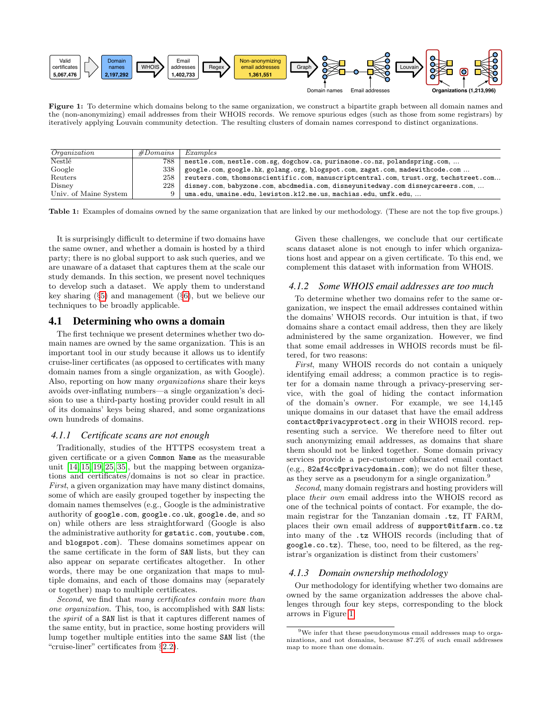<span id="page-4-1"></span>

Figure 1: To determine which domains belong to the same organization, we construct a bipartite graph between all domain names and the (non-anonymizing) email addresses from their WHOIS records. We remove spurious edges (such as those from some registrars) by iteratively applying Louvain community detection. The resulting clusters of domain names correspond to distinct organizations.

<span id="page-4-2"></span>

| <i><u><b>Organization</b></u></i> | #Domains    | Examples                                                                                   |
|-----------------------------------|-------------|--------------------------------------------------------------------------------------------|
| <b>Nestlé</b>                     | 788         | nestle.com, nestle.com.sg, dogchow.ca, purinaone.co.nz, polandspring.com,                  |
| Google                            | 338         | google.com, google.hk, golang.org, blogspot.com, zagat.com, madewithcode.com               |
| Reuters                           |             | 258   reuters.com, thomsonscientific.com, manuscriptcentral.com, trust.org, techstreet.com |
| Disney                            | 228         | disney.com, babyzone.com, abcdmedia.com, disneyunitedway.com disneycareers.com,            |
| Univ. of Maine System             | $\mathbf Q$ | uma.edu, umaine.edu, lewiston.k12.me.us, machias.edu, umfk.edu,                            |

Table 1: Examples of domains owned by the same organization that are linked by our methodology. (These are not the top five groups.)

It is surprisingly difficult to determine if two domains have the same owner, and whether a domain is hosted by a third party; there is no global support to ask such queries, and we are unaware of a dataset that captures them at the scale our study demands. In this section, we present novel techniques to develop such a dataset. We apply them to understand key sharing  $(\S 5)$  $(\S 5)$  and management  $(\S 6)$  $(\S 6)$ , but we believe our techniques to be broadly applicable.

#### <span id="page-4-0"></span>4.1 Determining who owns a domain

The first technique we present determines whether two domain names are owned by the same organization. This is an important tool in our study because it allows us to identify cruise-liner certificates (as opposed to certificates with many domain names from a single organization, as with Google). Also, reporting on how many organizations share their keys avoids over-inflating numbers—a single organization's decision to use a third-party hosting provider could result in all of its domains' keys being shared, and some organizations own hundreds of domains.

#### *4.1.1 Certificate scans are not enough*

Traditionally, studies of the HTTPS ecosystem treat a given certificate or a given Common Name as the measurable unit [\[14,](#page-13-19) [15,](#page-13-1) [19,](#page-13-3) [25,](#page-13-4) [35\]](#page-13-20), but the mapping between organizations and certificates/domains is not so clear in practice. First, a given organization may have many distinct domains, some of which are easily grouped together by inspecting the domain names themselves (e.g., Google is the administrative authority of google.com, google.co.uk, google.de, and so on) while others are less straightforward (Google is also the administrative authority for gstatic.com, youtube.com, and blogspot.com). These domains sometimes appear on the same certificate in the form of SAN lists, but they can also appear on separate certificates altogether. In other words, there may be one organization that maps to multiple domains, and each of those domains may (separately or together) map to multiple certificates.

Second, we find that many certificates contain more than one organization. This, too, is accomplished with SAN lists: the spirit of a SAN list is that it captures different names of the same entity, but in practice, some hosting providers will lump together multiple entities into the same SAN list (the "cruise-liner" certificates from §[2.2\)](#page-1-1).

Given these challenges, we conclude that our certificate scans dataset alone is not enough to infer which organizations host and appear on a given certificate. To this end, we complement this dataset with information from WHOIS.

#### *4.1.2 Some WHOIS email addresses are too much*

To determine whether two domains refer to the same organization, we inspect the email addresses contained within the domains' WHOIS records. Our intuition is that, if two domains share a contact email address, then they are likely administered by the same organization. However, we find that some email addresses in WHOIS records must be filtered, for two reasons:

First, many WHOIS records do not contain a uniquely identifying email address; a common practice is to register for a domain name through a privacy-preserving service, with the goal of hiding the contact information of the domain's owner. For example, we see 14,145 unique domains in our dataset that have the email address contact@privacyprotect.org in their WHOIS record. representing such a service. We therefore need to filter out such anonymizing email addresses, as domains that share them should not be linked together. Some domain privacy services provide a per-customer obfuscated email contact (e.g., 82af4cc@privacydomain.com); we do not filter these, as they serve as a pseudonym for a single organization.<sup>9</sup>

Second, many domain registrars and hosting providers will place their own email address into the WHOIS record as one of the technical points of contact. For example, the domain registrar for the Tanzanian domain .tz, IT FARM, places their own email address of support@itfarm.co.tz into many of the .tz WHOIS records (including that of google.co.tz). These, too, need to be filtered, as the registrar's organization is distinct from their customers'

#### *4.1.3 Domain ownership methodology*

Our methodology for identifying whether two domains are owned by the same organization addresses the above challenges through four key steps, corresponding to the block arrows in Figure [1:](#page-4-1)

 $9\,\mathrm{We}$  infer that these pseudonymous email addresses map to organizations, and not domains, because 87.2% of such email addresses map to more than one domain.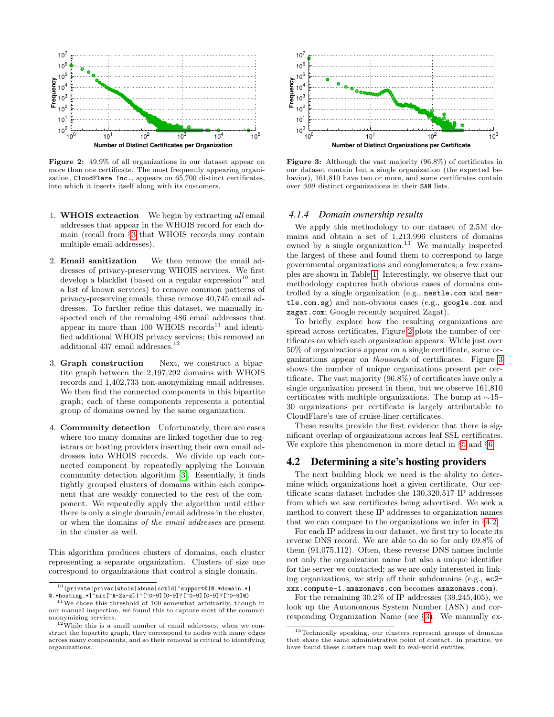<span id="page-5-1"></span>

Figure 2: 49.9% of all organizations in our dataset appear on more than one certificate. The most frequently appearing organization, CloudFlare Inc., appears on 65,700 distinct certificates, into which it inserts itself along with its customers.

- 1. WHOIS extraction We begin by extracting all email addresses that appear in the WHOIS record for each domain (recall from §[3](#page-3-0) that WHOIS records may contain multiple email addresses).
- 2. Email sanitization We then remove the email addresses of privacy-preserving WHOIS services. We first develop a blacklist (based on a regular expression  $10$  and a list of known services) to remove common patterns of privacy-preserving emails; these remove 40,745 email addresses. To further refine this dataset, we manually inspected each of the remaining 486 email addresses that appear in more than 100 WHOIS records<sup>11</sup> and identified additional WHOIS privacy services; this removed an additional 437 email addresses. $^{\rm 12}$
- 3. Graph construction Next, we construct a bipartite graph between the 2,197,292 domains with WHOIS records and 1,402,733 non-anonymizing email addresses. We then find the connected components in this bipartite graph; each of these components represents a potential group of domains owned by the same organization.
- 4. Community detection Unfortunately, there are cases where too many domains are linked together due to registrars or hosting providers inserting their own email addresses into WHOIS records. We divide up each connected component by repeatedly applying the Louvain community detection algorithm [\[3\]](#page-12-3). Essentially, it finds tightly grouped clusters of domains within each component that are weakly connected to the rest of the component. We repeatedly apply the algorithm until either there is only a single domain/email address in the cluster, or when the domains of the email addresses are present in the cluster as well.

This algorithm produces clusters of domains, each cluster representing a separate organization. Clusters of size one correspond to organizations that control a single domain.

<span id="page-5-2"></span>

Figure 3: Although the vast majority (96.8%) of certificates in our dataset contain but a single organization (the expected behavior), 161,810 have two or more, and some certificates contain over 300 distinct organizations in their SAN lists.

#### *4.1.4 Domain ownership results*

We apply this methodology to our dataset of 2.5M domains and obtain a set of 1,213,996 clusters of domains owned by a single organization.<sup>13</sup> We manually inspected the largest of these and found them to correspond to large governmental organizations and conglomerates; a few examples are shown in Table [1.](#page-4-2) Interestingly, we observe that our methodology captures both obvious cases of domains controlled by a single organization (e.g., nestle.com and nestle.com.sg) and non-obvious cases (e.g., google.com and zagat.com; Google recently acquired Zagat).

To briefly explore how the resulting organizations are spread across certificates, Figure [2](#page-5-1) plots the number of certificates on which each organization appears. While just over 50% of organizations appear on a single certificate, some organizations appear on thousands of certificates. Figure [3](#page-5-2) shows the number of unique organizations present per certificate. The vast majority (96.8%) of certificates have only a single organization present in them, but we observe 161,810 certificates with multiple organizations. The bump at ∼15– 30 organizations per certificate is largely attributable to CloudFlare's use of cruise-liner certificates.

These results provide the first evidence that there is significant overlap of organizations across leaf SSL certificates. We explore this phenomenon in more detail in §[5](#page-6-0) and §[6.](#page-9-0)

#### <span id="page-5-0"></span>4.2 Determining a site's hosting providers

The next building block we need is the ability to determine which organizations host a given certificate. Our certificate scans dataset includes the 130,320,517 IP addresses from which we saw certificates being advertised. We seek a method to convert these IP addresses to organization names that we can compare to the organizations we infer in §[4.2.](#page-5-0)

For each IP address in our dataset, we first try to locate its reverse DNS record. We are able to do so for only 69.8% of them (91,075,112). Often, these reverse DNS names include not only the organization name but also a unique identifier for the server we contacted; as we are only interested in linking organizations, we strip off their subdomains (e.g., ec2 xxx.compute-1.amazonaws.com becomes amazonaws.com).

For the remaining 30.2% of IP addresses (39,245,405), we look up the Autonomous System Number (ASN) and corresponding Organization Name (see §[3\)](#page-3-0). We manually ex-

 $^{10}$ (private|privac|whois|abuse|cctld|^support@|@.\*domain.\*| @.\*hosting.\*|^nic[^A-Za-z]|^[^0-9][0-9]?[^0-9][0-9]?[^0-9]@)

 $^{11}$  We chose this threshold of 100 somewhat arbitrarily, though in our manual inspection, we found this to capture most of the common anonymizing services.

 $12$  While this is a small number of email addresses, when we construct the bipartite graph, they correspond to nodes with many edges across many components, and so their removal is critical to identifying organizations.

<sup>13</sup>Technically speaking, our clusters represent groups of domains that share the same administrative point of contact. In practice, we have found these clusters map well to real-world entities.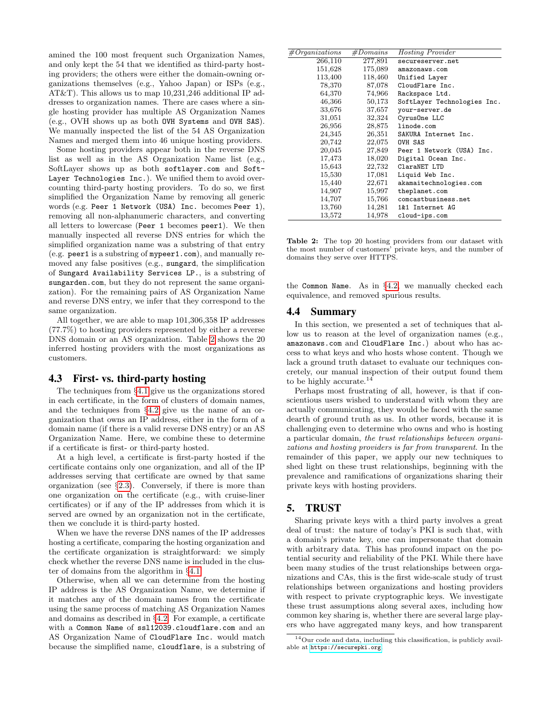amined the 100 most frequent such Organization Names, and only kept the 54 that we identified as third-party hosting providers; the others were either the domain-owning organizations themselves (e.g., Yahoo Japan) or ISPs (e.g., AT&T). This allows us to map 10,231,246 additional IP addresses to organization names. There are cases where a single hosting provider has multiple AS Organization Names (e.g., OVH shows up as both OVH Systems and OVH SAS). We manually inspected the list of the 54 AS Organization Names and merged them into 46 unique hosting providers.

Some hosting providers appear both in the reverse DNS list as well as in the AS Organization Name list (e.g., SoftLayer shows up as both softlayer.com and Soft-Layer Technologies Inc.). We unified them to avoid overcounting third-party hosting providers. To do so, we first simplified the Organization Name by removing all generic words (e.g. Peer 1 Network (USA) Inc. becomes Peer 1), removing all non-alphanumeric characters, and converting all letters to lowercase (Peer 1 becomes peer1). We then manually inspected all reverse DNS entries for which the simplified organization name was a substring of that entry (e.g. peer1 is a substring of mypeer1.com), and manually removed any false positives (e.g., sungard, the simplification of Sungard Availability Services LP., is a substring of sungarden.com, but they do not represent the same organization). For the remaining pairs of AS Organization Name and reverse DNS entry, we infer that they correspond to the same organization.

All together, we are able to map 101,306,358 IP addresses (77.7%) to hosting providers represented by either a reverse DNS domain or an AS organization. Table [2](#page-6-2) shows the 20 inferred hosting providers with the most organizations as customers.

## <span id="page-6-1"></span>4.3 First- vs. third-party hosting

The techniques from §[4.1](#page-4-0) give us the organizations stored in each certificate, in the form of clusters of domain names, and the techniques from §[4.2](#page-5-0) give us the name of an organization that owns an IP address, either in the form of a domain name (if there is a valid reverse DNS entry) or an AS Organization Name. Here, we combine these to determine if a certificate is first- or third-party hosted.

At a high level, a certificate is first-party hosted if the certificate contains only one organization, and all of the IP addresses serving that certificate are owned by that same organization (see §[2.3\)](#page-2-0). Conversely, if there is more than one organization on the certificate (e.g., with cruise-liner certificates) or if any of the IP addresses from which it is served are owned by an organization not in the certificate, then we conclude it is third-party hosted.

When we have the reverse DNS names of the IP addresses hosting a certificate, comparing the hosting organization and the certificate organization is straightforward: we simply check whether the reverse DNS name is included in the cluster of domains from the algorithm in §[4.1.](#page-4-0)

Otherwise, when all we can determine from the hosting IP address is the AS Organization Name, we determine if it matches any of the domain names from the certificate using the same process of matching AS Organization Names and domains as described in §[4.2.](#page-5-0) For example, a certificate with a Common Name of ssl12039.cloudflare.com and an AS Organization Name of CloudFlare Inc. would match because the simplified name, cloudflare, is a substring of

<span id="page-6-2"></span>

| #Organizations | #Domains | <b>Hosting Provider</b>     |
|----------------|----------|-----------------------------|
| 266,110        | 277,891  | secureserver.net            |
| 151,628        | 175,089  | amazonaws.com               |
| 113,400        | 118,460  | Unified Layer               |
| 78,370         | 87,078   | CloudFlare Inc.             |
| 64,370         | 74,966   | Rackspace Ltd.              |
| 46,366         | 50,173   | SoftLayer Technologies Inc. |
| 33,676         | 37,657   | your-server.de              |
| 31,051         | 32,324   | CyrusOne LLC                |
| 26,956         | 28,875   | linode.com                  |
| 24,345         | 26,351   | SAKURA Internet Inc.        |
| 20,742         | 22,075   | OVH SAS                     |
| 20,045         | 27,849   | Peer 1 Network (USA) Inc.   |
| 17,473         | 18,020   | Digital Ocean Inc.          |
| 15,643         | 22,732   | ClaraNET LTD                |
| 15,530         | 17,081   | Liquid Web Inc.             |
| 15,440         | 22,671   | akamaitechnologies.com      |
| 14,907         | 15,997   | theplanet.com               |
| 14,707         | 15,766   | comcastbusiness.net         |
| 13,760         | 14,281   | 1&1 Internet AG             |
| 13,572         | 14,978   | cloud-ips.com               |

Table 2: The top 20 hosting providers from our dataset with the most number of customers' private keys, and the number of domains they serve over HTTPS.

the Common Name. As in §[4.2,](#page-5-0) we manually checked each equivalence, and removed spurious results.

#### 4.4 Summary

In this section, we presented a set of techniques that allow us to reason at the level of organization names (e.g., amazonaws.com and CloudFlare Inc.) about who has access to what keys and who hosts whose content. Though we lack a ground truth dataset to evaluate our techniques concretely, our manual inspection of their output found them to be highly accurate.<sup>14</sup>

Perhaps most frustrating of all, however, is that if conscientious users wished to understand with whom they are actually communicating, they would be faced with the same dearth of ground truth as us. In other words, because it is challenging even to determine who owns and who is hosting a particular domain, the trust relationships between organizations and hosting providers is far from transparent. In the remainder of this paper, we apply our new techniques to shed light on these trust relationships, beginning with the prevalence and ramifications of organizations sharing their private keys with hosting providers.

# <span id="page-6-0"></span>5. TRUST

Sharing private keys with a third party involves a great deal of trust: the nature of today's PKI is such that, with a domain's private key, one can impersonate that domain with arbitrary data. This has profound impact on the potential security and reliability of the PKI. While there have been many studies of the trust relationships between organizations and CAs, this is the first wide-scale study of trust relationships between organizations and hosting providers with respect to private cryptographic keys. We investigate these trust assumptions along several axes, including how common key sharing is, whether there are several large players who have aggregated many keys, and how transparent

 $14$ Our code and data, including this classification, is publicly available at <https://securepki.org>.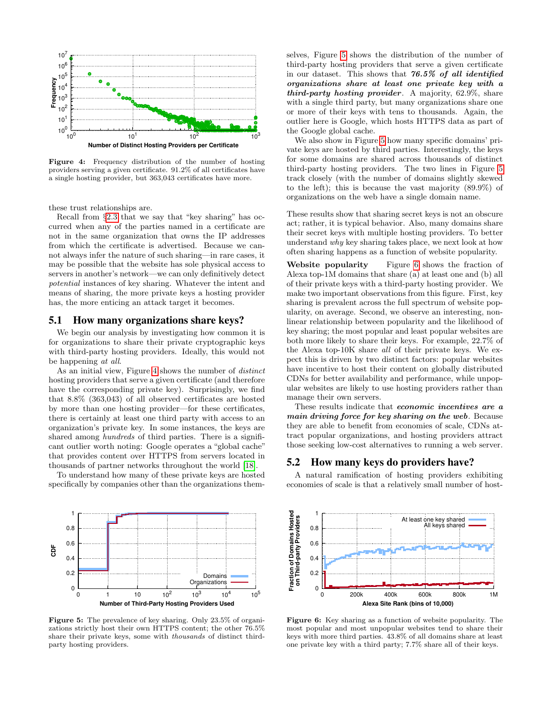<span id="page-7-0"></span>

Figure 4: Frequency distribution of the number of hosting providers serving a given certificate. 91.2% of all certificates have a single hosting provider, but 363,043 certificates have more.

these trust relationships are.

Recall from §[2.3](#page-2-0) that we say that "key sharing" has occurred when any of the parties named in a certificate are not in the same organization that owns the IP addresses from which the certificate is advertised. Because we cannot always infer the nature of such sharing—in rare cases, it may be possible that the website has sole physical access to servers in another's network—we can only definitively detect potential instances of key sharing. Whatever the intent and means of sharing, the more private keys a hosting provider has, the more enticing an attack target it becomes.

## 5.1 How many organizations share keys?

We begin our analysis by investigating how common it is for organizations to share their private cryptographic keys with third-party hosting providers. Ideally, this would not be happening at all.

As an initial view, Figure [4](#page-7-0) shows the number of distinct hosting providers that serve a given certificate (and therefore have the corresponding private key). Surprisingly, we find that 8.8% (363,043) of all observed certificates are hosted by more than one hosting provider—for these certificates, there is certainly at least one third party with access to an organization's private key. In some instances, the keys are shared among *hundreds* of third parties. There is a significant outlier worth noting: Google operates a "global cache" that provides content over HTTPS from servers located in thousands of partner networks throughout the world [\[18\]](#page-13-21).

To understand how many of these private keys are hosted specifically by companies other than the organizations them-

<span id="page-7-1"></span>

Figure 5: The prevalence of key sharing. Only 23.5% of organizations strictly host their own HTTPS content; the other 76.5% share their private keys, some with thousands of distinct thirdparty hosting providers.

selves, Figure [5](#page-7-1) shows the distribution of the number of third-party hosting providers that serve a given certificate in our dataset. This shows that 76.5% of all identified organizations share at least one private key with a third-party hosting provider. A majority, 62.9%, share with a single third party, but many organizations share one or more of their keys with tens to thousands. Again, the outlier here is Google, which hosts HTTPS data as part of the Google global cache.

We also show in Figure [5](#page-7-1) how many specific domains' private keys are hosted by third parties. Interestingly, the keys for some domains are shared across thousands of distinct third-party hosting providers. The two lines in Figure [5](#page-7-1) track closely (with the number of domains slightly skewed to the left); this is because the vast majority (89.9%) of organizations on the web have a single domain name.

These results show that sharing secret keys is not an obscure act; rather, it is typical behavior. Also, many domains share their secret keys with multiple hosting providers. To better understand why key sharing takes place, we next look at how often sharing happens as a function of website popularity.

Website popularity Figure [6](#page-7-2) shows the fraction of Alexa top-1M domains that share (a) at least one and (b) all of their private keys with a third-party hosting provider. We make two important observations from this figure. First, key sharing is prevalent across the full spectrum of website popularity, on average. Second, we observe an interesting, nonlinear relationship between popularity and the likelihood of key sharing; the most popular and least popular websites are both more likely to share their keys. For example, 22.7% of the Alexa top-10K share all of their private keys. We expect this is driven by two distinct factors: popular websites have incentive to host their content on globally distributed CDNs for better availability and performance, while unpopular websites are likely to use hosting providers rather than manage their own servers.

These results indicate that *economic incentives* are a main driving force for key sharing on the web. Because they are able to benefit from economies of scale, CDNs attract popular organizations, and hosting providers attract those seeking low-cost alternatives to running a web server.

### 5.2 How many keys do providers have?

A natural ramification of hosting providers exhibiting economies of scale is that a relatively small number of host-

<span id="page-7-2"></span>

Figure 6: Key sharing as a function of website popularity. The most popular and most unpopular websites tend to share their keys with more third parties. 43.8% of all domains share at least one private key with a third party; 7.7% share all of their keys.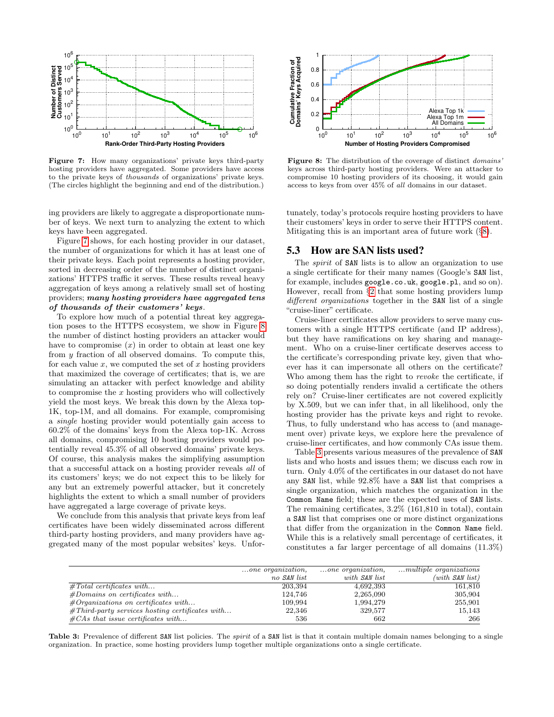<span id="page-8-0"></span>

Figure 7: How many organizations' private keys third-party hosting providers have aggregated. Some providers have access to the private keys of thousands of organizations' private keys. (The circles highlight the beginning and end of the distribution.)

ing providers are likely to aggregate a disproportionate number of keys. We next turn to analyzing the extent to which keys have been aggregated.

Figure [7](#page-8-0) shows, for each hosting provider in our dataset, the number of organizations for which it has at least one of their private keys. Each point represents a hosting provider, sorted in decreasing order of the number of distinct organizations' HTTPS traffic it serves. These results reveal heavy aggregation of keys among a relatively small set of hosting providers; many hosting providers have aggregated tens of thousands of their customers' keys.

To explore how much of a potential threat key aggregation poses to the HTTPS ecosystem, we show in Figure [8](#page-8-0) the number of distinct hosting providers an attacker would have to compromise  $(x)$  in order to obtain at least one key from y fraction of all observed domains. To compute this, for each value  $x$ , we computed the set of  $x$  hosting providers that maximized the coverage of certificates; that is, we are simulating an attacker with perfect knowledge and ability to compromise the  $x$  hosting providers who will collectively yield the most keys. We break this down by the Alexa top-1K, top-1M, and all domains. For example, compromising a *single* hosting provider would potentially gain access to 60.2% of the domains' keys from the Alexa top-1K. Across all domains, compromising 10 hosting providers would potentially reveal 45.3% of all observed domains' private keys. Of course, this analysis makes the simplifying assumption that a successful attack on a hosting provider reveals all of its customers' keys; we do not expect this to be likely for any but an extremely powerful attacker, but it concretely highlights the extent to which a small number of providers have aggregated a large coverage of private keys.

We conclude from this analysis that private keys from leaf certificates have been widely disseminated across different third-party hosting providers, and many providers have aggregated many of the most popular websites' keys. Unfor-



Figure 8: The distribution of the coverage of distinct *domains'* keys across third-party hosting providers. Were an attacker to compromise 10 hosting providers of its choosing, it would gain access to keys from over 45% of all domains in our dataset.

tunately, today's protocols require hosting providers to have their customers' keys in order to serve their HTTPS content. Mitigating this is an important area of future work (§[8\)](#page-12-1).

#### 5.3 How are SAN lists used?

The spirit of SAN lists is to allow an organization to use a single certificate for their many names (Google's SAN list, for example, includes google.co.uk, google.pl, and so on). However, recall from §[2](#page-1-0) that some hosting providers lump different organizations together in the SAN list of a single "cruise-liner" certificate.

Cruise-liner certificates allow providers to serve many customers with a single HTTPS certificate (and IP address), but they have ramifications on key sharing and management. Who on a cruise-liner certificate deserves access to the certificate's corresponding private key, given that whoever has it can impersonate all others on the certificate? Who among them has the right to revoke the certificate, if so doing potentially renders invalid a certificate the others rely on? Cruise-liner certificates are not covered explicitly by X.509, but we can infer that, in all likelihood, only the hosting provider has the private keys and right to revoke. Thus, to fully understand who has access to (and management over) private keys, we explore here the prevalence of cruise-liner certificates, and how commonly CAs issue them.

Table [3](#page-8-1) presents various measures of the prevalence of SAN lists and who hosts and issues them; we discuss each row in turn. Only 4.0% of the certificates in our dataset do not have any SAN list, while 92.8% have a SAN list that comprises a single organization, which matches the organization in the Common Name field; these are the expected uses of SAN lists. The remaining certificates, 3.2% (161,810 in total), contain a SAN list that comprises one or more distinct organizations that differ from the organization in the Common Name field. While this is a relatively small percentage of certificates, it constitutes a far larger percentage of all domains (11.3%)

<span id="page-8-1"></span>

|                                                   | $\ldots$ one organization, | one organization, | $\dots$ multiple organizations |
|---------------------------------------------------|----------------------------|-------------------|--------------------------------|
|                                                   | no SAN list                | with SAN list     | $(with$ SAN $list)$            |
| $\#Total$ certificates with                       | 203.394                    | 4,692,393         | 161,810                        |
| $#Domains$ on certificates with                   | 124.746                    | 2,265,090         | 305,904                        |
| $#Organizations$ on certificates with             | 109,994                    | 1,994,279         | 255,901                        |
| $#Third-party$ services hosting certificates with | 22,346                     | 329,577           | 15,143                         |
| $\#CAs$ that issue certificates with              | 536                        | 662               | 266                            |

Table 3: Prevalence of different SAN list policies. The *spirit* of a SAN list is that it contain multiple domain names belonging to a single organization. In practice, some hosting providers lump together multiple organizations onto a single certificate.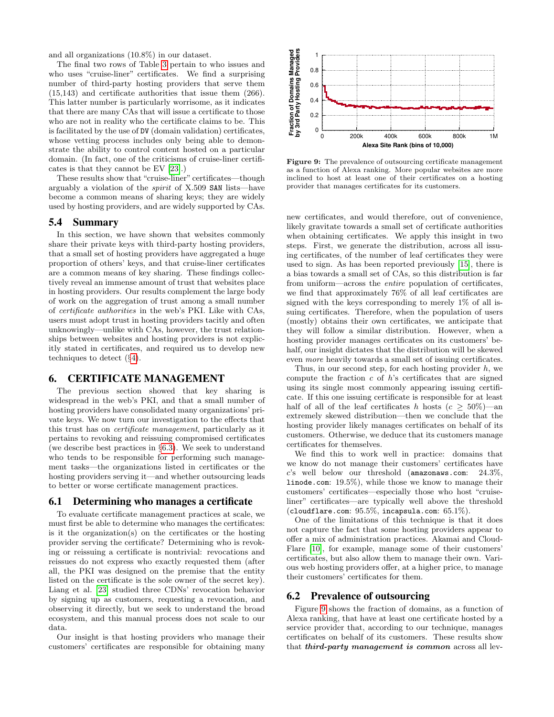and all organizations (10.8%) in our dataset.

The final two rows of Table [3](#page-8-1) pertain to who issues and who uses "cruise-liner" certificates. We find a surprising number of third-party hosting providers that serve them (15,143) and certificate authorities that issue them (266). This latter number is particularly worrisome, as it indicates that there are many CAs that will issue a certificate to those who are not in reality who the certificate claims to be. This is facilitated by the use of DV (domain validation) certificates, whose vetting process includes only being able to demonstrate the ability to control content hosted on a particular domain. (In fact, one of the criticisms of cruise-liner certificates is that they cannot be EV [\[23\]](#page-13-0).)

These results show that "cruise-liner" certificates—though arguably a violation of the spirit of X.509 SAN lists—have become a common means of sharing keys; they are widely used by hosting providers, and are widely supported by CAs.

## 5.4 Summary

In this section, we have shown that websites commonly share their private keys with third-party hosting providers, that a small set of hosting providers have aggregated a huge proportion of others' keys, and that cruise-liner certificates are a common means of key sharing. These findings collectively reveal an immense amount of trust that websites place in hosting providers. Our results complement the large body of work on the aggregation of trust among a small number of certificate authorities in the web's PKI. Like with CAs, users must adopt trust in hosting providers tacitly and often unknowingly—unlike with CAs, however, the trust relationships between websites and hosting providers is not explicitly stated in certificates, and required us to develop new techniques to detect (§[4\)](#page-3-1).

#### <span id="page-9-0"></span>6. CERTIFICATE MANAGEMENT

The previous section showed that key sharing is widespread in the web's PKI, and that a small number of hosting providers have consolidated many organizations' private keys. We now turn our investigation to the effects that this trust has on certificate management, particularly as it pertains to revoking and reissuing compromised certificates (we describe best practices in §[6.3\)](#page-10-0). We seek to understand who tends to be responsible for performing such management tasks—the organizations listed in certificates or the hosting providers serving it—and whether outsourcing leads to better or worse certificate management practices.

## 6.1 Determining who manages a certificate

To evaluate certificate management practices at scale, we must first be able to determine who manages the certificates: is it the organization(s) on the certificates or the hosting provider serving the certificate? Determining who is revoking or reissuing a certificate is nontrivial: revocations and reissues do not express who exactly requested them (after all, the PKI was designed on the premise that the entity listed on the certificate is the sole owner of the secret key). Liang et al. [\[23\]](#page-13-0) studied three CDNs' revocation behavior by signing up as customers, requesting a revocation, and observing it directly, but we seek to understand the broad ecosystem, and this manual process does not scale to our data.

Our insight is that hosting providers who manage their customers' certificates are responsible for obtaining many

<span id="page-9-1"></span>

Figure 9: The prevalence of outsourcing certificate management as a function of Alexa ranking. More popular websites are more inclined to host at least one of their certificates on a hosting provider that manages certificates for its customers.

new certificates, and would therefore, out of convenience, likely gravitate towards a small set of certificate authorities when obtaining certificates. We apply this insight in two steps. First, we generate the distribution, across all issuing certificates, of the number of leaf certificates they were used to sign. As has been reported previously [\[15\]](#page-13-1), there is a bias towards a small set of CAs, so this distribution is far from uniform—across the entire population of certificates, we find that approximately 76% of all leaf certificates are signed with the keys corresponding to merely 1% of all issuing certificates. Therefore, when the population of users (mostly) obtains their own certificates, we anticipate that they will follow a similar distribution. However, when a hosting provider manages certificates on its customers' behalf, our insight dictates that the distribution will be skewed even more heavily towards a small set of issuing certificates.

Thus, in our second step, for each hosting provider  $h$ , we compute the fraction  $c$  of  $h$ 's certificates that are signed using its single most commonly appearing issuing certificate. If this one issuing certificate is responsible for at least half of all of the leaf certificates h hosts ( $c \geq 50\%$ )—an extremely skewed distribution—then we conclude that the hosting provider likely manages certificates on behalf of its customers. Otherwise, we deduce that its customers manage certificates for themselves.

We find this to work well in practice: domains that we know do not manage their customers' certificates have  $c$ 's well below our threshold (amazonaws.com: 24.3%, linode.com: 19.5%), while those we know to manage their customers' certificates—especially those who host "cruiseliner" certificates—are typically well above the threshold (cloudflare.com:  $95.5\%$ , incapsula.com:  $65.1\%$ ).

One of the limitations of this technique is that it does not capture the fact that some hosting providers appear to offer a mix of administration practices. Akamai and Cloud-Flare [\[10\]](#page-13-22), for example, manage some of their customers' certificates, but also allow them to manage their own. Various web hosting providers offer, at a higher price, to manage their customers' certificates for them.

# 6.2 Prevalence of outsourcing

Figure [9](#page-9-1) shows the fraction of domains, as a function of Alexa ranking, that have at least one certificate hosted by a service provider that, according to our technique, manages certificates on behalf of its customers. These results show that third-party management is common across all lev-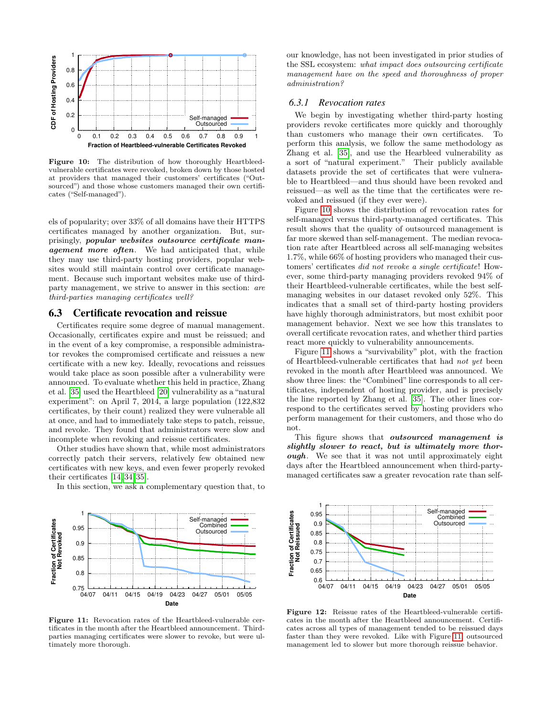<span id="page-10-1"></span>

Figure 10: The distribution of how thoroughly Heartbleedvulnerable certificates were revoked, broken down by those hosted at providers that managed their customers' certificates ("Outsourced") and those whose customers managed their own certificates ("Self-managed").

els of popularity; over 33% of all domains have their HTTPS certificates managed by another organization. But, surprisingly, popular websites outsource certificate management more often. We had anticipated that, while they may use third-party hosting providers, popular websites would still maintain control over certificate management. Because such important websites make use of thirdparty management, we strive to answer in this section: are third-parties managing certificates well?

# <span id="page-10-0"></span>6.3 Certificate revocation and reissue

Certificates require some degree of manual management. Occasionally, certificates expire and must be reissued; and in the event of a key compromise, a responsible administrator revokes the compromised certificate and reissues a new certificate with a new key. Ideally, revocations and reissues would take place as soon possible after a vulnerability were announced. To evaluate whether this held in practice, Zhang et al. [\[35\]](#page-13-20) used the Heartbleed [\[20\]](#page-13-23) vulnerability as a "natural experiment": on April 7, 2014, a large population (122,832 certificates, by their count) realized they were vulnerable all at once, and had to immediately take steps to patch, reissue, and revoke. They found that administrators were slow and incomplete when revoking and reissue certificates.

Other studies have shown that, while most administrators correctly patch their servers, relatively few obtained new certificates with new keys, and even fewer properly revoked their certificates [\[14,](#page-13-19) [34,](#page-13-24) [35\]](#page-13-20).

In this section, we ask a complementary question that, to

<span id="page-10-2"></span>

Figure 11: Revocation rates of the Heartbleed-vulnerable certificates in the month after the Heartbleed announcement. Thirdparties managing certificates were slower to revoke, but were ultimately more thorough.

our knowledge, has not been investigated in prior studies of the SSL ecosystem: what impact does outsourcing certificate management have on the speed and thoroughness of proper administration?

#### *6.3.1 Revocation rates*

We begin by investigating whether third-party hosting providers revoke certificates more quickly and thoroughly than customers who manage their own certificates. To perform this analysis, we follow the same methodology as Zhang et al. [\[35\]](#page-13-20), and use the Hearbleed vulnerability as a sort of "natural experiment." Their publicly available datasets provide the set of certificates that were vulnerable to Heartbleed—and thus should have been revoked and reissued—as well as the time that the certificates were revoked and reissued (if they ever were).

Figure [10](#page-10-1) shows the distribution of revocation rates for self-managed versus third-party-managed certificates. This result shows that the quality of outsourced management is far more skewed than self-management. The median revocation rate after Heartbleed across all self-managing websites 1.7%, while 66% of hosting providers who managed their customers' certificates did not revoke a single certificate! However, some third-party managing providers revoked 94% of their Heartbleed-vulnerable certificates, while the best selfmanaging websites in our dataset revoked only 52%. This indicates that a small set of third-party hosting providers have highly thorough administrators, but most exhibit poor management behavior. Next we see how this translates to overall certificate revocation rates, and whether third parties react more quickly to vulnerability announcements.

Figure [11](#page-10-2) shows a "survivability" plot, with the fraction of Heartbleed-vulnerable certificates that had not yet been revoked in the month after Heartbleed was announced. We show three lines: the "Combined" line corresponds to all certificates, independent of hosting provider, and is precisely the line reported by Zhang et al. [\[35\]](#page-13-20). The other lines correspond to the certificates served by hosting providers who perform management for their customers, and those who do not.

This figure shows that outsourced management is slightly slower to react, but is ultimately more thorough. We see that it was not until approximately eight days after the Heartbleed announcement when third-partymanaged certificates saw a greater revocation rate than self-

<span id="page-10-3"></span>

Figure 12: Reissue rates of the Heartbleed-vulnerable certificates in the month after the Heartbleed announcement. Certificates across all types of management tended to be reissued days faster than they were revoked. Like with Figure [11,](#page-10-2) outsourced management led to slower but more thorough reissue behavior.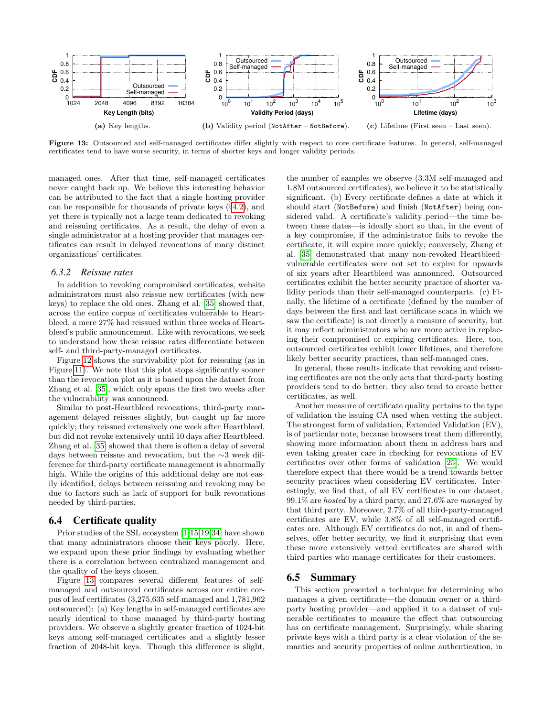<span id="page-11-0"></span>

Figure 13: Outsourced and self-managed certificates differ slightly with respect to core certificate features. In general, self-managed certificates tend to have worse security, in terms of shorter keys and longer validity periods.

managed ones. After that time, self-managed certificates never caught back up. We believe this interesting behavior can be attributed to the fact that a single hosting provider can be responsible for thousands of private keys (§[4.2\)](#page-5-0), and yet there is typically not a large team dedicated to revoking and reissuing certificates. As a result, the delay of even a single administrator at a hosting provider that manages certificates can result in delayed revocations of many distinct organizations' certificates.

#### *6.3.2 Reissue rates*

In addition to revoking compromised certificates, website administrators must also reissue new certificates (with new keys) to replace the old ones. Zhang et al. [\[35\]](#page-13-20) showed that, across the entire corpus of certificates vulnerable to Heartbleed, a mere 27% had reissued within three weeks of Heartbleed's public announcement. Like with revocations, we seek to understand how these reissue rates differentiate between self- and third-party-managed certificates.

Figure [12](#page-10-3) shows the survivability plot for reissuing (as in Figure [11\)](#page-10-2). We note that this plot stops significantly sooner than the revocation plot as it is based upon the dataset from Zhang et al. [\[35\]](#page-13-20), which only spans the first two weeks after the vulnerability was announced.

Similar to post-Heartbleed revocations, third-party management delayed reissues slightly, but caught up far more quickly; they reissued extensively one week after Heartbleed, but did not revoke extensively until 10 days after Heartbleed. Zhang et al. [\[35\]](#page-13-20) showed that there is often a delay of several days between reissue and revocation, but the ∼3 week difference for third-party certificate management is abnormally high. While the origins of this additional delay are not easily identified, delays between reissuing and revoking may be due to factors such as lack of support for bulk revocations needed by third-parties.

## 6.4 Certificate quality

Prior studies of the SSL ecosystem [\[1,](#page-12-4)[15,](#page-13-1)[19,](#page-13-3)[34\]](#page-13-24) have shown that many administrators choose their keys poorly. Here, we expand upon these prior findings by evaluating whether there is a correlation between centralized management and the quality of the keys chosen.

Figure [13](#page-11-0) compares several different features of selfmanaged and outsourced certificates across our entire corpus of leaf certificates (3,275,635 self-managed and 1,781,962 outsourced): (a) Key lengths in self-managed certificates are nearly identical to those managed by third-party hosting providers. We observe a slightly greater fraction of 1024-bit keys among self-managed certificates and a slightly lesser fraction of 2048-bit keys. Though this difference is slight, the number of samples we observe (3.3M self-managed and 1.8M outsourced certificates), we believe it to be statistically significant. (b) Every certificate defines a date at which it should start (NotBefore) and finish (NotAfter) being considered valid. A certificate's validity period—the time between these dates—is ideally short so that, in the event of a key compromise, if the administrator fails to revoke the certificate, it will expire more quickly; conversely, Zhang et al. [\[35\]](#page-13-20) demonstrated that many non-revoked Heartbleedvulnerable certificates were not set to expire for upwards of six years after Heartbleed was announced. Outsourced certificates exhibit the better security practice of shorter validity periods than their self-managed counterparts. (c) Finally, the lifetime of a certificate (defined by the number of days between the first and last certificate scans in which we saw the certificate) is not directly a measure of security, but it may reflect administrators who are more active in replacing their compromised or expiring certificates. Here, too, outsourced certificates exhibit lower lifetimes, and therefore likely better security practices, than self-managed ones.

In general, these results indicate that revoking and reissuing certificates are not the only acts that third-party hosting providers tend to do better; they also tend to create better certificates, as well.

Another measure of certificate quality pertains to the type of validation the issuing CA used when vetting the subject. The strongest form of validation, Extended Validation (EV), is of particular note, because browsers treat them differently, showing more information about them in address bars and even taking greater care in checking for revocations of EV certificates over other forms of validation [\[25\]](#page-13-4). We would therefore expect that there would be a trend towards better security practices when considering EV certificates. Interestingly, we find that, of all EV certificates in our dataset, 99.1% are hosted by a third party, and 27.6% are managed by that third party. Moreover, 2.7% of all third-party-managed certificates are EV, while 3.8% of all self-managed certificates are. Although EV certificates do not, in and of themselves, offer better security, we find it surprising that even these more extensively vetted certificates are shared with third parties who manage certificates for their customers.

# 6.5 Summary

This section presented a technique for determining who manages a given certificate—the domain owner or a thirdparty hosting provider—and applied it to a dataset of vulnerable certificates to measure the effect that outsourcing has on certificate management. Surprisingly, while sharing private keys with a third party is a clear violation of the semantics and security properties of online authentication, in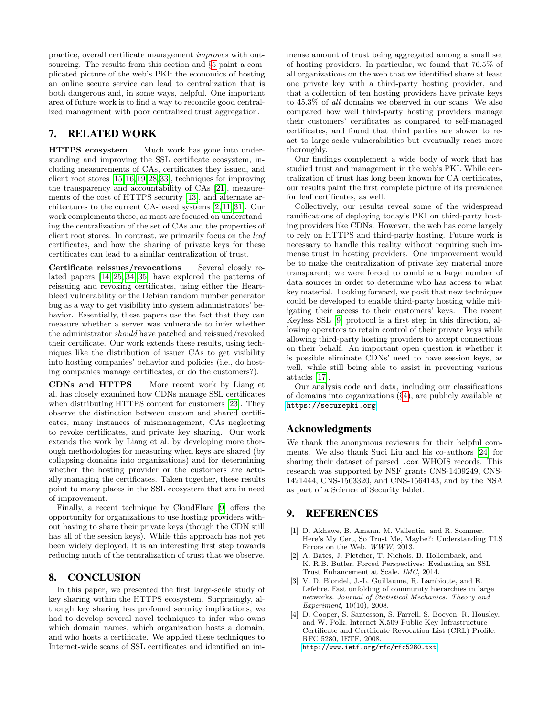practice, overall certificate management improves with outsourcing. The results from this section and §[5](#page-6-0) paint a complicated picture of the web's PKI: the economics of hosting an online secure service can lead to centralization that is both dangerous and, in some ways, helpful. One important area of future work is to find a way to reconcile good centralized management with poor centralized trust aggregation.

# <span id="page-12-0"></span>7. RELATED WORK

HTTPS ecosystem Much work has gone into understanding and improving the SSL certificate ecosystem, including measurements of CAs, certificates they issued, and client root stores [\[15,](#page-13-1)[16,](#page-13-2)[19,](#page-13-3)[28,](#page-13-25)[33\]](#page-13-5), techniques for improving the transparency and accountability of CAs [\[21\]](#page-13-26), measurements of the cost of HTTPS security [\[13\]](#page-13-27), and alternate architectures to the current CA-based systems [\[2,](#page-12-5) [11,](#page-13-28) [31\]](#page-13-29). Our work complements these, as most are focused on understanding the centralization of the set of CAs and the properties of client root stores. In contrast, we primarily focus on the leaf certificates, and how the sharing of private keys for these certificates can lead to a similar centralization of trust.

Certificate reissues/revocations Several closely related papers [\[14,](#page-13-19) [25,](#page-13-4) [34,](#page-13-24) [35\]](#page-13-20) have explored the patterns of reissuing and revoking certificates, using either the Heartbleed vulnerability or the Debian random number generator bug as a way to get visibility into system administrators' behavior. Essentially, these papers use the fact that they can measure whether a server was vulnerable to infer whether the administrator should have patched and reissued/revoked their certificate. Our work extends these results, using techniques like the distribution of issuer CAs to get visibility into hosting companies' behavior and policies (i.e., do hosting companies manage certificates, or do the customers?).

CDNs and HTTPS More recent work by Liang et al. has closely examined how CDNs manage SSL certificates when distributing HTTPS content for customers [\[23\]](#page-13-0). They observe the distinction between custom and shared certificates, many instances of mismanagement, CAs neglecting to revoke certificates, and private key sharing. Our work extends the work by Liang et al. by developing more thorough methodologies for measuring when keys are shared (by collapsing domains into organizations) and for determining whether the hosting provider or the customers are actually managing the certificates. Taken together, these results point to many places in the SSL ecosystem that are in need of improvement.

Finally, a recent technique by CloudFlare [\[9\]](#page-13-30) offers the opportunity for organizations to use hosting providers without having to share their private keys (though the CDN still has all of the session keys). While this approach has not yet been widely deployed, it is an interesting first step towards reducing much of the centralization of trust that we observe.

# <span id="page-12-1"></span>8. CONCLUSION

In this paper, we presented the first large-scale study of key sharing within the HTTPS ecosystem. Surprisingly, although key sharing has profound security implications, we had to develop several novel techniques to infer who owns which domain names, which organization hosts a domain, and who hosts a certificate. We applied these techniques to Internet-wide scans of SSL certificates and identified an immense amount of trust being aggregated among a small set of hosting providers. In particular, we found that 76.5% of all organizations on the web that we identified share at least one private key with a third-party hosting provider, and that a collection of ten hosting providers have private keys to 45.3% of all domains we observed in our scans. We also compared how well third-party hosting providers manage their customers' certificates as compared to self-managed certificates, and found that third parties are slower to react to large-scale vulnerabilities but eventually react more thoroughly.

Our findings complement a wide body of work that has studied trust and management in the web's PKI. While centralization of trust has long been known for CA certificates, our results paint the first complete picture of its prevalence for leaf certificates, as well.

Collectively, our results reveal some of the widespread ramifications of deploying today's PKI on third-party hosting providers like CDNs. However, the web has come largely to rely on HTTPS and third-party hosting. Future work is necessary to handle this reality without requiring such immense trust in hosting providers. One improvement would be to make the centralization of private key material more transparent; we were forced to combine a large number of data sources in order to determine who has access to what key material. Looking forward, we posit that new techniques could be developed to enable third-party hosting while mitigating their access to their customers' keys. The recent Keyless SSL [\[9\]](#page-13-30) protocol is a first step in this direction, allowing operators to retain control of their private keys while allowing third-party hosting providers to accept connections on their behalf. An important open question is whether it is possible eliminate CDNs' need to have session keys, as well, while still being able to assist in preventing various attacks [\[17\]](#page-13-6).

Our analysis code and data, including our classifications of domains into organizations (§[4\)](#page-3-1), are publicly available at <https://securepki.org>

# Acknowledgments

We thank the anonymous reviewers for their helpful comments. We also thank Suqi Liu and his co-authors [\[24\]](#page-13-18) for sharing their dataset of parsed .com WHOIS records. This research was supported by NSF grants CNS-1409249, CNS-1421444, CNS-1563320, and CNS-1564143, and by the NSA as part of a Science of Security lablet.

# 9. REFERENCES

- <span id="page-12-4"></span>[1] D. Akhawe, B. Amann, M. Vallentin, and R. Sommer. Here's My Cert, So Trust Me, Maybe?: Understanding TLS Errors on the Web. WWW, 2013.
- <span id="page-12-5"></span>[2] A. Bates, J. Pletcher, T. Nichols, B. Hollembaek, and K. R.B. Butler. Forced Perspectives: Evaluating an SSL Trust Enhancement at Scale. IMC, 2014.
- <span id="page-12-3"></span>[3] V. D. Blondel, J.-L. Guillaume, R. Lambiotte, and E. Lefebre. Fast unfolding of community hierarchies in large networks. Journal of Statistical Mechanics: Theory and Experiment, 10(10), 2008.
- <span id="page-12-2"></span>[4] D. Cooper, S. Santesson, S. Farrell, S. Boeyen, R. Housley, and W. Polk. Internet X.509 Public Key Infrastructure Certificate and Certificate Revocation List (CRL) Profile. RFC 5280, IETF, 2008. <http://www.ietf.org/rfc/rfc5280.txt>.